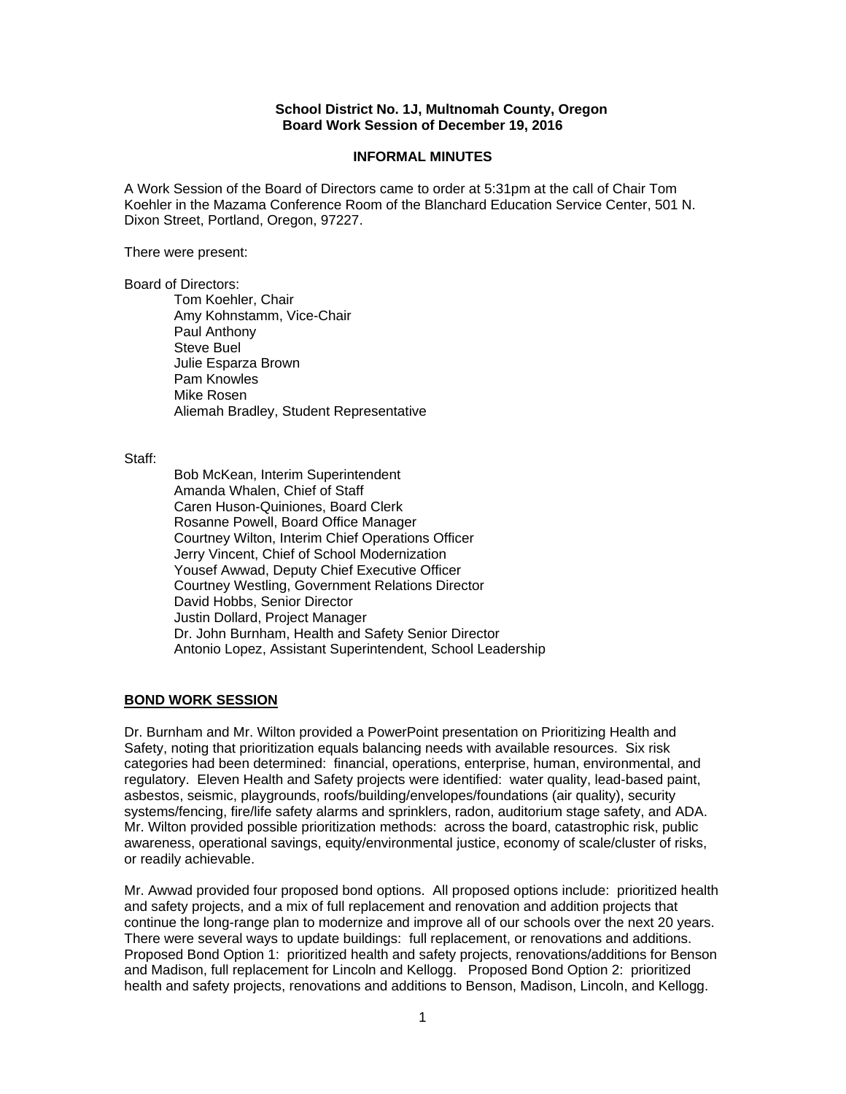### **School District No. 1J, Multnomah County, Oregon Board Work Session of December 19, 2016**

#### **INFORMAL MINUTES**

A Work Session of the Board of Directors came to order at 5:31pm at the call of Chair Tom Koehler in the Mazama Conference Room of the Blanchard Education Service Center, 501 N. Dixon Street, Portland, Oregon, 97227.

There were present:

Board of Directors:

Tom Koehler, Chair Amy Kohnstamm, Vice-Chair Paul Anthony Steve Buel Julie Esparza Brown Pam Knowles Mike Rosen Aliemah Bradley, Student Representative

Staff:

 Bob McKean, Interim Superintendent Amanda Whalen, Chief of Staff Caren Huson-Quiniones, Board Clerk Rosanne Powell, Board Office Manager Courtney Wilton, Interim Chief Operations Officer Jerry Vincent, Chief of School Modernization Yousef Awwad, Deputy Chief Executive Officer Courtney Westling, Government Relations Director David Hobbs, Senior Director Justin Dollard, Project Manager Dr. John Burnham, Health and Safety Senior Director Antonio Lopez, Assistant Superintendent, School Leadership

# **BOND WORK SESSION**

Dr. Burnham and Mr. Wilton provided a PowerPoint presentation on Prioritizing Health and Safety, noting that prioritization equals balancing needs with available resources. Six risk categories had been determined: financial, operations, enterprise, human, environmental, and regulatory. Eleven Health and Safety projects were identified: water quality, lead-based paint, asbestos, seismic, playgrounds, roofs/building/envelopes/foundations (air quality), security systems/fencing, fire/life safety alarms and sprinklers, radon, auditorium stage safety, and ADA. Mr. Wilton provided possible prioritization methods: across the board, catastrophic risk, public awareness, operational savings, equity/environmental justice, economy of scale/cluster of risks, or readily achievable.

Mr. Awwad provided four proposed bond options. All proposed options include: prioritized health and safety projects, and a mix of full replacement and renovation and addition projects that continue the long-range plan to modernize and improve all of our schools over the next 20 years. There were several ways to update buildings: full replacement, or renovations and additions. Proposed Bond Option 1: prioritized health and safety projects, renovations/additions for Benson and Madison, full replacement for Lincoln and Kellogg. Proposed Bond Option 2: prioritized health and safety projects, renovations and additions to Benson, Madison, Lincoln, and Kellogg.